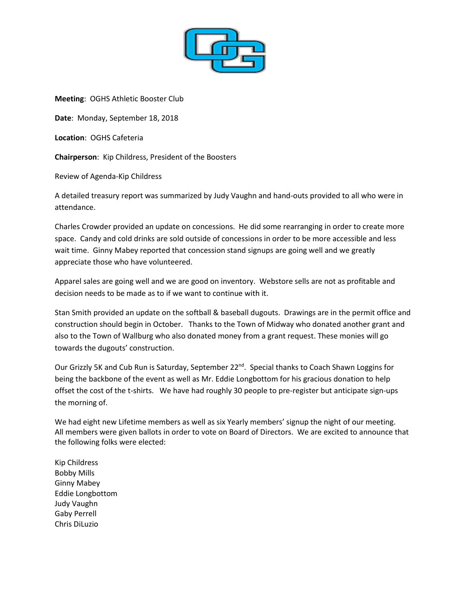

**Meeting**: OGHS Athletic Booster Club

**Date**: Monday, September 18, 2018

**Location**: OGHS Cafeteria

**Chairperson**: Kip Childress, President of the Boosters

Review of Agenda-Kip Childress

A detailed treasury report was summarized by Judy Vaughn and hand-outs provided to all who were in attendance.

Charles Crowder provided an update on concessions. He did some rearranging in order to create more space. Candy and cold drinks are sold outside of concessions in order to be more accessible and less wait time. Ginny Mabey reported that concession stand signups are going well and we greatly appreciate those who have volunteered.

Apparel sales are going well and we are good on inventory. Webstore sells are not as profitable and decision needs to be made as to if we want to continue with it.

Stan Smith provided an update on the softball & baseball dugouts. Drawings are in the permit office and construction should begin in October. Thanks to the Town of Midway who donated another grant and also to the Town of Wallburg who also donated money from a grant request. These monies will go towards the dugouts' construction.

Our Grizzly 5K and Cub Run is Saturday, September 22<sup>nd</sup>. Special thanks to Coach Shawn Loggins for being the backbone of the event as well as Mr. Eddie Longbottom for his gracious donation to help offset the cost of the t-shirts. We have had roughly 30 people to pre-register but anticipate sign-ups the morning of.

We had eight new Lifetime members as well as six Yearly members' signup the night of our meeting. All members were given ballots in order to vote on Board of Directors. We are excited to announce that the following folks were elected:

Kip Childress Bobby Mills Ginny Mabey Eddie Longbottom Judy Vaughn Gaby Perrell Chris DiLuzio